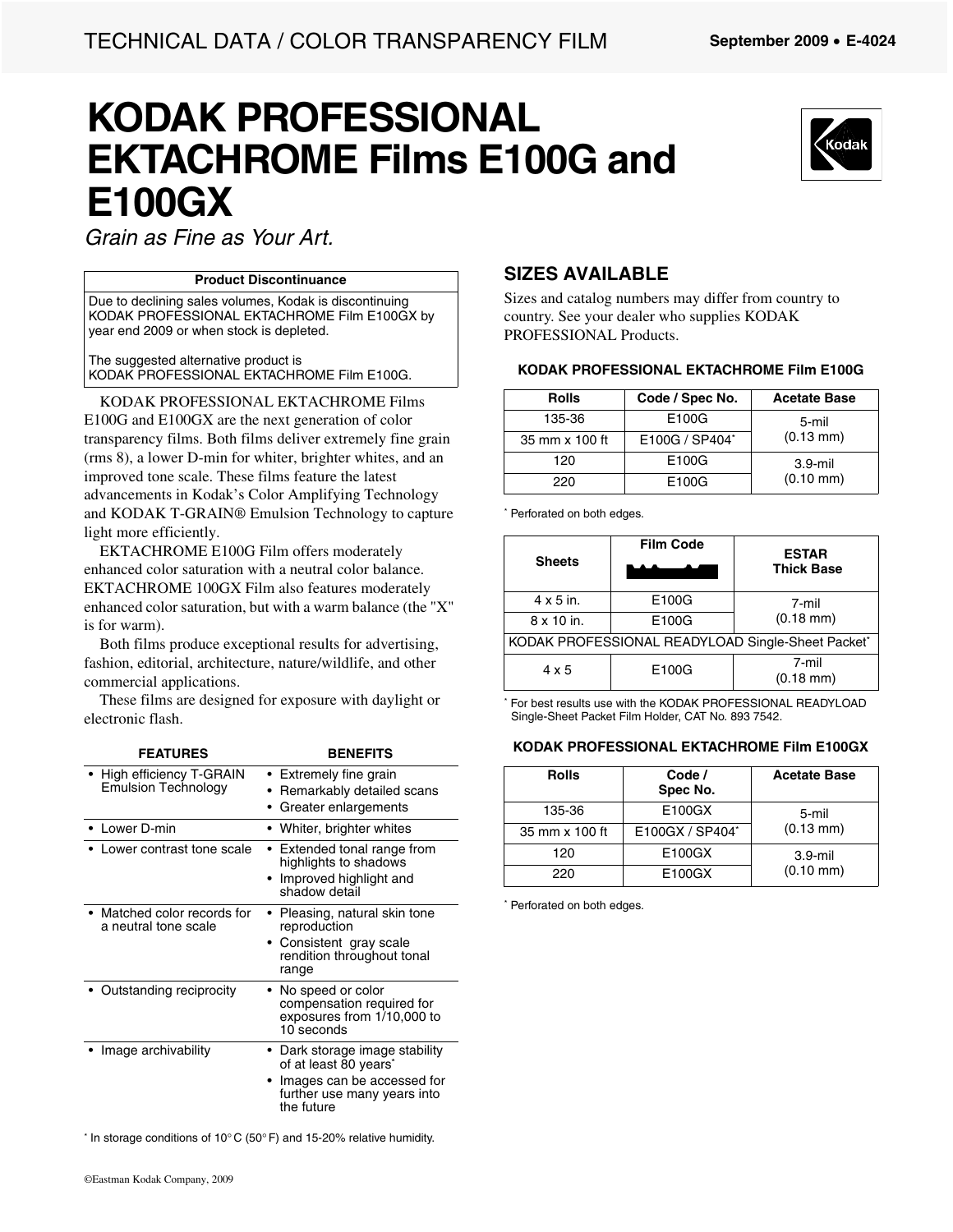# **KODAK PROFESSIONAL EKTACHROME Films E100G and E100GX**



*Grain as Fine as Your Art.*

#### **Product Discontinuance**

Due to declining sales volumes, Kodak is discontinuing KODAK PROFESSIONAL EKTACHROME Film E100GX by year end 2009 or when stock is depleted.

The suggested alternative product is KODAK PROFESSIONAL EKTACHROME Film E100G.

KODAK PROFESSIONAL EKTACHROME Films E100G and E100GX are the next generation of color transparency films. Both films deliver extremely fine grain (rms 8), a lower D-min for whiter, brighter whites, and an improved tone scale. These films feature the latest advancements in Kodak's Color Amplifying Technology and KODAK T-GRAIN® Emulsion Technology to capture light more efficiently.

EKTACHROME E100G Film offers moderately enhanced color saturation with a neutral color balance. EKTACHROME 100GX Film also features moderately enhanced color saturation, but with a warm balance (the "X" is for warm).

Both films produce exceptional results for advertising, fashion, editorial, architecture, nature/wildlife, and other commercial applications.

These films are designed for exposure with daylight or electronic flash.

| <b>FEATURES</b>                                       | <b>BENEFITS</b>                                                                                                                                |
|-------------------------------------------------------|------------------------------------------------------------------------------------------------------------------------------------------------|
| High efficiency T-GRAIN<br><b>Emulsion Technology</b> | Extremely fine grain<br>Remarkably detailed scans<br>Greater enlargements                                                                      |
| Lower D-min                                           | • Whiter, brighter whites                                                                                                                      |
| Lower contrast tone scale                             | • Extended tonal range from<br>highlights to shadows<br>Improved highlight and<br>shadow detail                                                |
| Matched color records for<br>a neutral tone scale     | Pleasing, natural skin tone<br>reproduction<br>• Consistent gray scale<br>rendition throughout tonal<br>range                                  |
| Outstanding reciprocity                               | No speed or color<br>compensation required for<br>exposures from 1/10,000 to<br>$10$ seconds                                                   |
| Image archivability                                   | • Dark storage image stability<br>of at least 80 years <sup>*</sup><br>Images can be accessed for<br>further use many years into<br>the future |

\* In storage conditions of 10 $^{\circ}$ C (50 $^{\circ}$  F) and 15-20% relative humidity.

#### **SIZES AVAILABLE**

Sizes and catalog numbers may differ from country to country. See your dealer who supplies KODAK PROFESSIONAL Products.

#### **KODAK PROFESSIONAL EKTACHROME Film E100G**

| <b>Rolls</b>   | Code / Spec No. | <b>Acetate Base</b> |
|----------------|-----------------|---------------------|
| 135-36         | E100G           | 5-mil               |
| 35 mm x 100 ft | E100G / SP404*  | $(0.13 \text{ mm})$ |
| 120            | E100G           | $3.9$ -mil          |
| 220            | E100G           | $(0.10 \text{ mm})$ |

\* Perforated on both edges.

| <b>Sheets</b>                                     | <b>Film Code</b> | <b>ESTAR</b><br><b>Thick Base</b> |
|---------------------------------------------------|------------------|-----------------------------------|
| $4 \times 5$ in.                                  | E100G            | 7-mil                             |
| $8 \times 10$ in.                                 | E100G            | $(0.18 \text{ mm})$               |
| KODAK PROFESSIONAL READYLOAD Single-Sheet Packet* |                  |                                   |
| $4 \times 5$                                      | E100G            | 7-mil<br>$(0.18 \text{ mm})$      |

\* For best results use with the KODAK PROFESSIONAL READYLOAD Single-Sheet Packet Film Holder, CAT No. 893 7542.

#### **KODAK PROFESSIONAL EKTACHROME Film E100GX**

| <b>Rolls</b>   | Code /<br>Spec No. | <b>Acetate Base</b> |
|----------------|--------------------|---------------------|
| 135-36         | E100GX             | 5-mil               |
| 35 mm x 100 ft | E100GX / SP404*    | $(0.13 \text{ mm})$ |
| 120            | E100GX             | $3.9$ -mil          |
| 220            | E100GX             | $(0.10 \text{ mm})$ |

\* Perforated on both edges.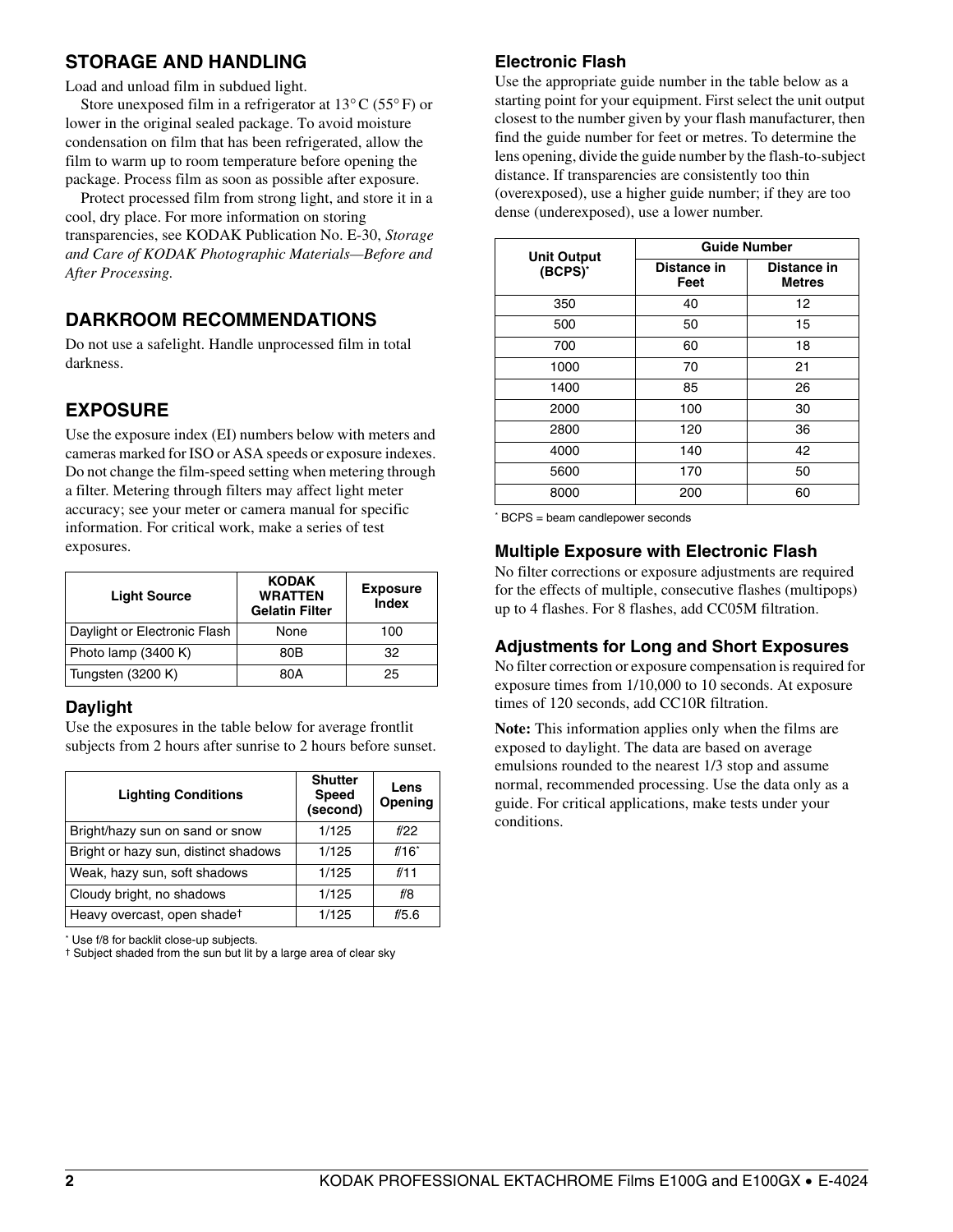#### **STORAGE AND HANDLING**

Load and unload film in subdued light.

Store unexposed film in a refrigerator at 13°C (55° F) or lower in the original sealed package. To avoid moisture condensation on film that has been refrigerated, allow the film to warm up to room temperature before opening the package. Process film as soon as possible after exposure.

Protect processed film from strong light, and store it in a cool, dry place. For more information on storing transparencies, see KODAK Publication No. E-30, *Storage and Care of KODAK Photographic Materials—Before and After Processing.*

#### **DARKROOM RECOMMENDATIONS**

Do not use a safelight. Handle unprocessed film in total darkness.

## **EXPOSURE**

Use the exposure index (EI) numbers below with meters and cameras marked for ISO or ASA speeds or exposure indexes. Do not change the film-speed setting when metering through a filter. Metering through filters may affect light meter accuracy; see your meter or camera manual for specific information. For critical work, make a series of test exposures.

| <b>Light Source</b>          | <b>KODAK</b><br><b>WRATTEN</b><br><b>Gelatin Filter</b> | <b>Exposure</b><br>Index |
|------------------------------|---------------------------------------------------------|--------------------------|
| Daylight or Electronic Flash | None                                                    | 100                      |
| Photo lamp (3400 K)          | 80B                                                     | 32                       |
| Tungsten (3200 K)            | 80A                                                     | 25                       |

#### **Daylight**

Use the exposures in the table below for average frontlit subjects from 2 hours after sunrise to 2 hours before sunset.

| <b>Lighting Conditions</b>           | <b>Shutter</b><br><b>Speed</b><br>(second) | Lens<br>Opening     |
|--------------------------------------|--------------------------------------------|---------------------|
| Bright/hazy sun on sand or snow      | 1/125                                      | f/22                |
| Bright or hazy sun, distinct shadows | 1/125                                      | $f/16$ <sup>*</sup> |
| Weak, hazy sun, soft shadows         | 1/125                                      | f/11                |
| Cloudy bright, no shadows            | 1/125                                      | f/8                 |
| Heavy overcast, open shadet          | 1/125                                      | f/5.6               |

\* Use f/8 for backlit close-up subjects.

† Subject shaded from the sun but lit by a large area of clear sky

#### **Electronic Flash**

Use the appropriate guide number in the table below as a starting point for your equipment. First select the unit output closest to the number given by your flash manufacturer, then find the guide number for feet or metres. To determine the lens opening, divide the guide number by the flash-to-subject distance. If transparencies are consistently too thin (overexposed), use a higher guide number; if they are too dense (underexposed), use a lower number.

| <b>Unit Output</b> | <b>Guide Number</b> |                              |
|--------------------|---------------------|------------------------------|
| (BCPS)*            | Distance in<br>Feet | Distance in<br><b>Metres</b> |
| 350                | 40                  | 12                           |
| 500                | 50                  | 15                           |
| 700                | 60                  | 18                           |
| 1000               | 70                  | 21                           |
| 1400               | 85                  | 26                           |
| 2000               | 100                 | 30                           |
| 2800               | 120                 | 36                           |
| 4000               | 140                 | 42                           |
| 5600               | 170                 | 50                           |
| 8000               | 200                 | 60                           |

\* BCPS = beam candlepower seconds

#### **Multiple Exposure with Electronic Flash**

No filter corrections or exposure adjustments are required for the effects of multiple, consecutive flashes (multipops) up to 4 flashes. For 8 flashes, add CC05M filtration.

#### **Adjustments for Long and Short Exposures**

No filter correction or exposure compensation is required for exposure times from 1/10,000 to 10 seconds. At exposure times of 120 seconds, add CC10R filtration.

**Note:** This information applies only when the films are exposed to daylight. The data are based on average emulsions rounded to the nearest 1/3 stop and assume normal, recommended processing. Use the data only as a guide. For critical applications, make tests under your conditions.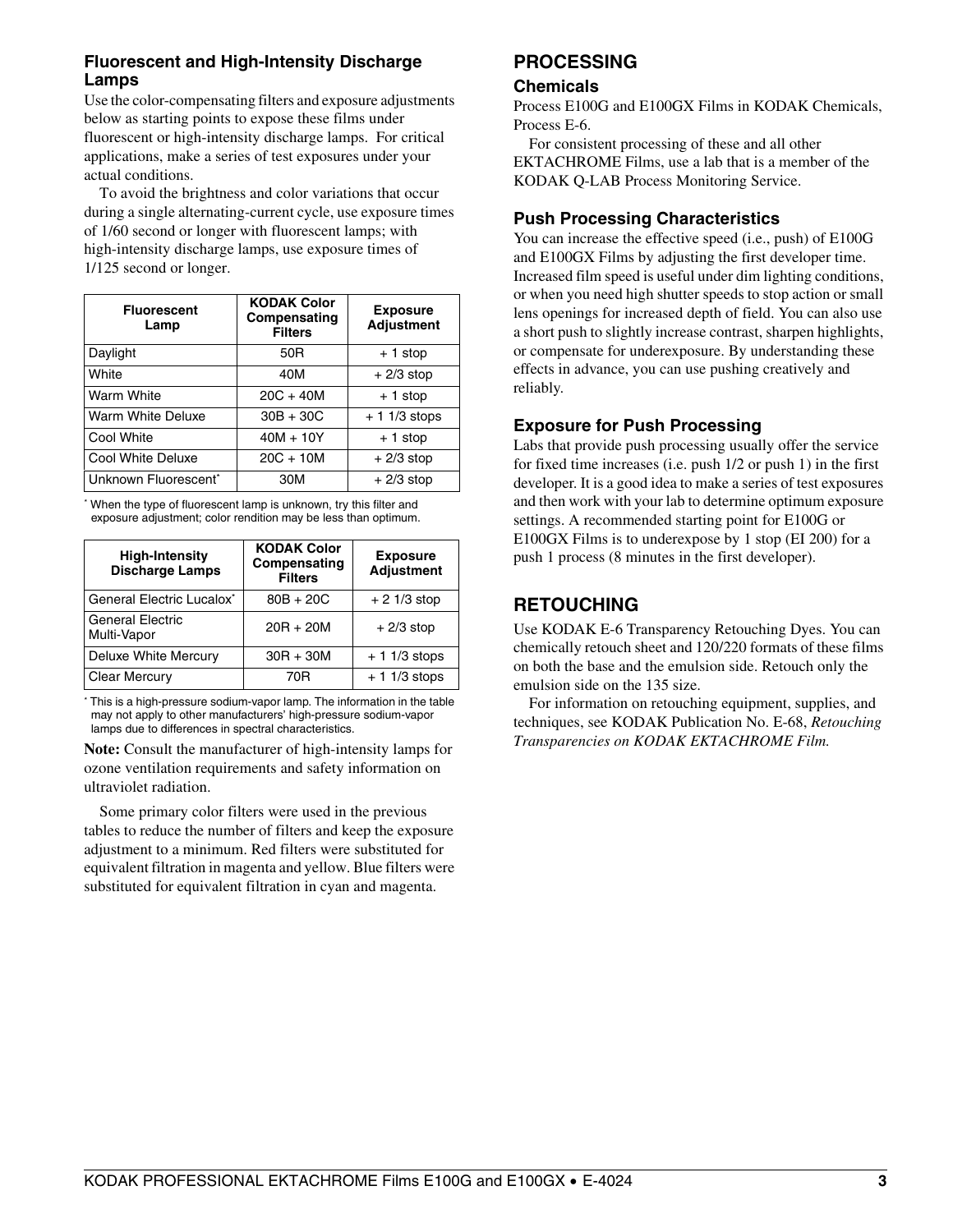#### **Fluorescent and High-Intensity Discharge Lamps**

Use the color-compensating filters and exposure adjustments below as starting points to expose these films under fluorescent or high-intensity discharge lamps. For critical applications, make a series of test exposures under your actual conditions.

To avoid the brightness and color variations that occur during a single alternating-current cycle, use exposure times of 1/60 second or longer with fluorescent lamps; with high-intensity discharge lamps, use exposure times of 1/125 second or longer.

| <b>Fluorescent</b><br>Lamp | <b>KODAK Color</b><br>Compensating<br><b>Filters</b> | <b>Exposure</b><br><b>Adjustment</b> |
|----------------------------|------------------------------------------------------|--------------------------------------|
| Daylight                   | 50 <sub>R</sub>                                      | $+1$ stop                            |
| White                      | 40M                                                  | $+2/3$ stop                          |
| Warm White                 | $20C + 40M$                                          | $+1$ stop                            |
| Warm White Deluxe          | $30B + 30C$                                          | $+ 11/3$ stops                       |
| Cool White                 | $40M + 10Y$                                          | $+1$ stop                            |
| Cool White Deluxe          | $20C + 10M$                                          | $+2/3$ stop                          |
| Unknown Fluorescent*       | 30M                                                  | $+2/3$ stop                          |

\* When the type of fluorescent lamp is unknown, try this filter and exposure adjustment; color rendition may be less than optimum.

| <b>High-Intensity</b><br><b>Discharge Lamps</b> | <b>KODAK Color</b><br>Compensating<br><b>Filters</b> | <b>Exposure</b><br><b>Adjustment</b> |
|-------------------------------------------------|------------------------------------------------------|--------------------------------------|
| General Electric Lucalox*                       | $80B + 20C$                                          | $+21/3$ stop                         |
| <b>General Electric</b><br>Multi-Vapor          | $20R + 20M$                                          | $+2/3$ stop                          |
| Deluxe White Mercury                            | $30R + 30M$                                          | $+11/3$ stops                        |
| <b>Clear Mercury</b>                            | 70R                                                  | $+11/3$ stops                        |

\* This is a high-pressure sodium-vapor lamp. The information in the table may not apply to other manufacturers' high-pressure sodium-vapor lamps due to differences in spectral characteristics.

**Note:** Consult the manufacturer of high-intensity lamps for ozone ventilation requirements and safety information on ultraviolet radiation.

Some primary color filters were used in the previous tables to reduce the number of filters and keep the exposure adjustment to a minimum. Red filters were substituted for equivalent filtration in magenta and yellow. Blue filters were substituted for equivalent filtration in cyan and magenta.

## **PROCESSING**

#### **Chemicals**

Process E100G and E100GX Films in KODAK Chemicals, Process E-6.

For consistent processing of these and all other EKTACHROME Films, use a lab that is a member of the KODAK Q-LAB Process Monitoring Service.

#### **Push Processing Characteristics**

You can increase the effective speed (i.e., push) of E100G and E100GX Films by adjusting the first developer time. Increased film speed is useful under dim lighting conditions, or when you need high shutter speeds to stop action or small lens openings for increased depth of field. You can also use a short push to slightly increase contrast, sharpen highlights, or compensate for underexposure. By understanding these effects in advance, you can use pushing creatively and reliably.

#### **Exposure for Push Processing**

Labs that provide push processing usually offer the service for fixed time increases (i.e. push 1/2 or push 1) in the first developer. It is a good idea to make a series of test exposures and then work with your lab to determine optimum exposure settings. A recommended starting point for E100G or E100GX Films is to underexpose by 1 stop (EI 200) for a push 1 process (8 minutes in the first developer).

## **RETOUCHING**

Use KODAK E-6 Transparency Retouching Dyes. You can chemically retouch sheet and 120/220 formats of these films on both the base and the emulsion side. Retouch only the emulsion side on the 135 size.

For information on retouching equipment, supplies, and techniques, see KODAK Publication No. E-68, *Retouching Transparencies on KODAK EKTACHROME Film.*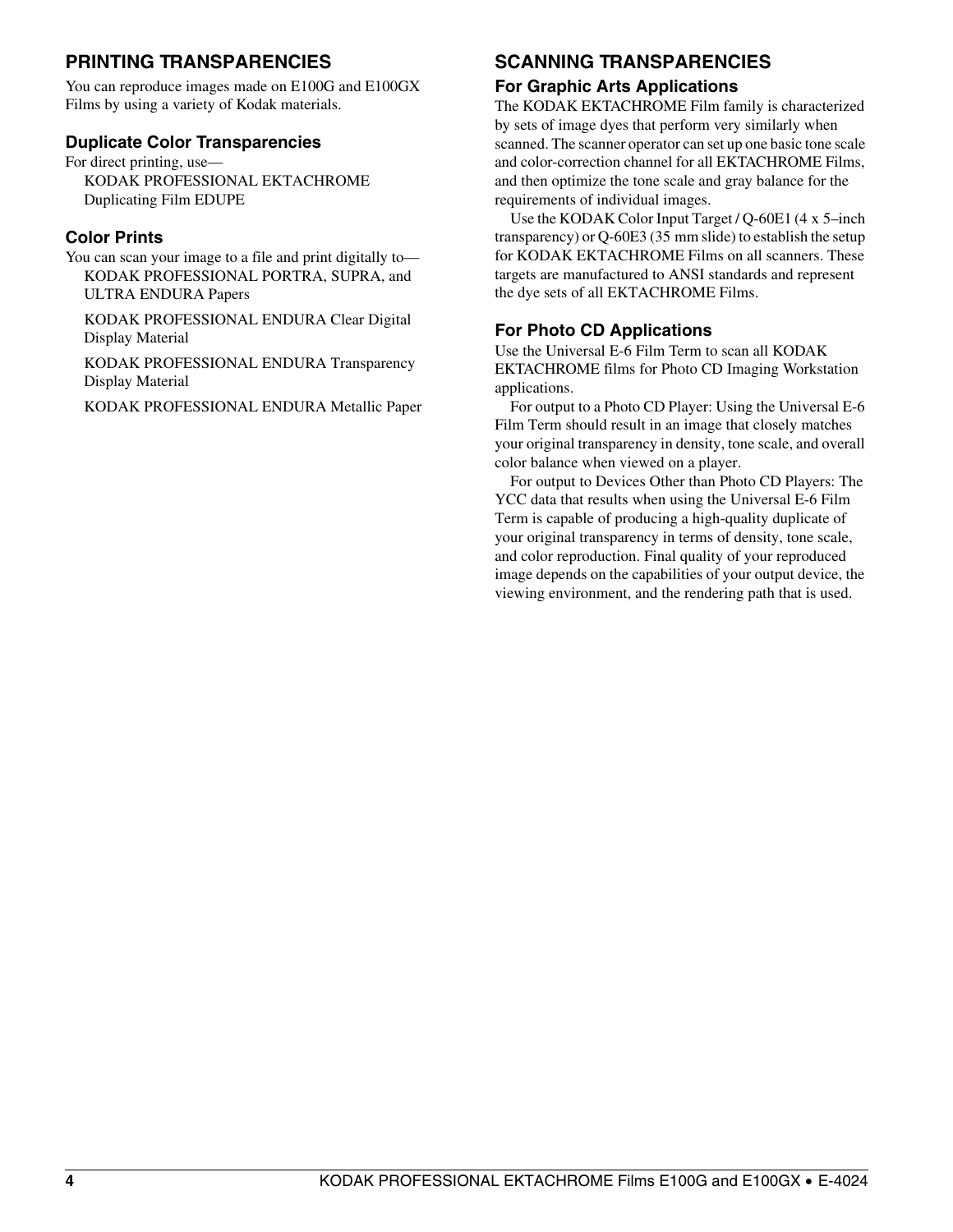## **PRINTING TRANSPARENCIES**

You can reproduce images made on E100G and E100GX Films by using a variety of Kodak materials.

#### **Duplicate Color Transparencies**

For direct printing, use— KODAK PROFESSIONAL EKTACHROME Duplicating Film EDUPE

#### **Color Prints**

You can scan your image to a file and print digitally to— KODAK PROFESSIONAL PORTRA, SUPRA, and ULTRA ENDURA Papers

KODAK PROFESSIONAL ENDURA Clear Digital Display Material

KODAK PROFESSIONAL ENDURA Transparency Display Material

KODAK PROFESSIONAL ENDURA Metallic Paper

## **SCANNING TRANSPARENCIES**

#### **For Graphic Arts Applications**

The KODAK EKTACHROME Film family is characterized by sets of image dyes that perform very similarly when scanned. The scanner operator can set up one basic tone scale and color-correction channel for all EKTACHROME Films, and then optimize the tone scale and gray balance for the requirements of individual images.

Use the KODAK Color Input Target / Q-60E1 (4 x 5–inch transparency) or Q-60E3 (35 mm slide) to establish the setup for KODAK EKTACHROME Films on all scanners. These targets are manufactured to ANSI standards and represent the dye sets of all EKTACHROME Films.

#### **For Photo CD Applications**

Use the Universal E-6 Film Term to scan all KODAK EKTACHROME films for Photo CD Imaging Workstation applications.

For output to a Photo CD Player: Using the Universal E-6 Film Term should result in an image that closely matches your original transparency in density, tone scale, and overall color balance when viewed on a player.

For output to Devices Other than Photo CD Players: The YCC data that results when using the Universal E-6 Film Term is capable of producing a high-quality duplicate of your original transparency in terms of density, tone scale, and color reproduction. Final quality of your reproduced image depends on the capabilities of your output device, the viewing environment, and the rendering path that is used.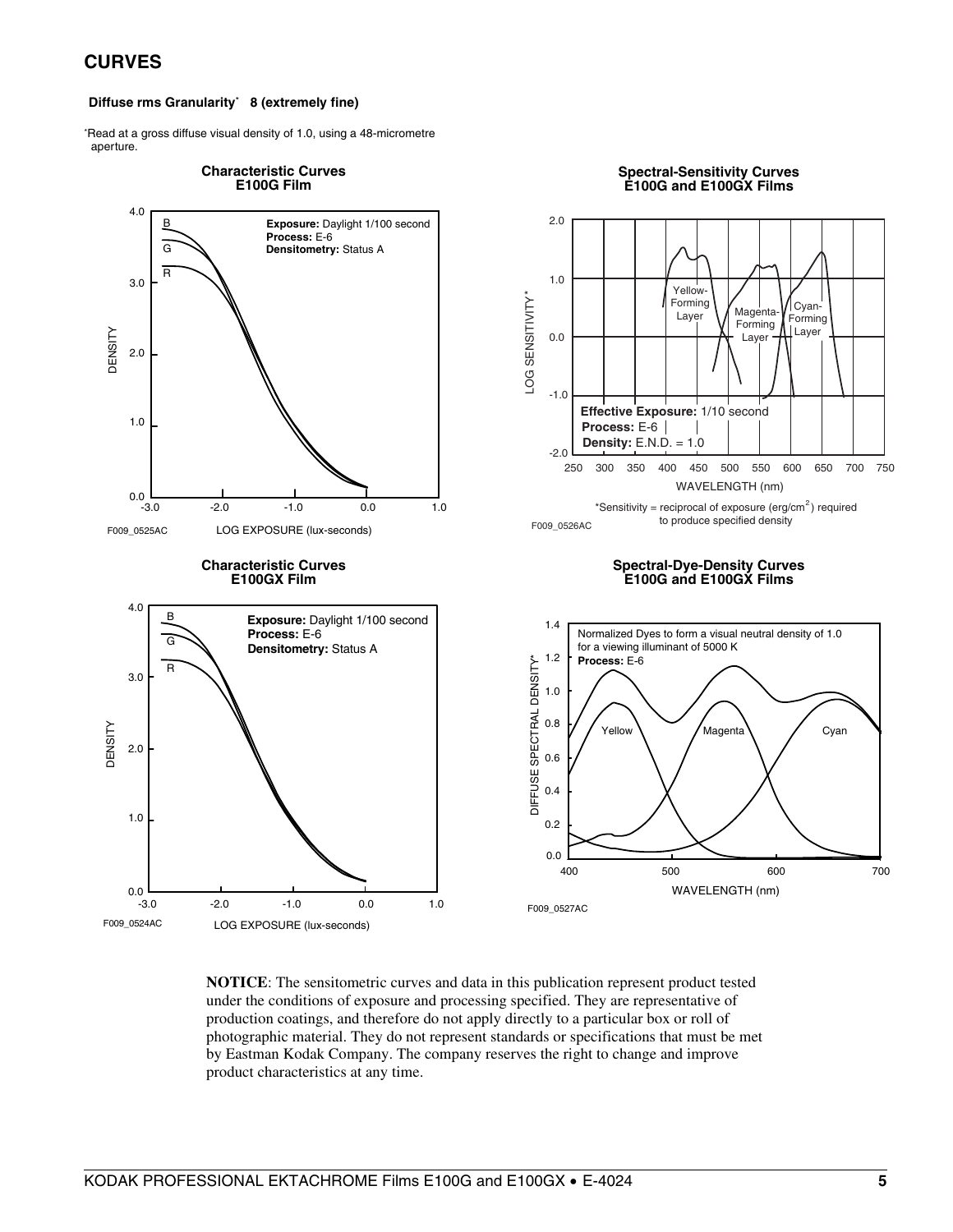#### **CURVES**

#### **Diffuse rms Granularity**\* **8 (extremely fine)**

\*Read at a gross diffuse visual density of 1.0, using a 48-micrometre aperture.



**NOTICE**: The sensitometric curves and data in this publication represent product tested under the conditions of exposure and processing specified. They are representative of production coatings, and therefore do not apply directly to a particular box or roll of photographic material. They do not represent standards or specifications that must be met by Eastman Kodak Company. The company reserves the right to change and improve product characteristics at any time.

#### KODAK PROFESSIONAL EKTACHROME Films E100G and E100GX • E-4024 **5**